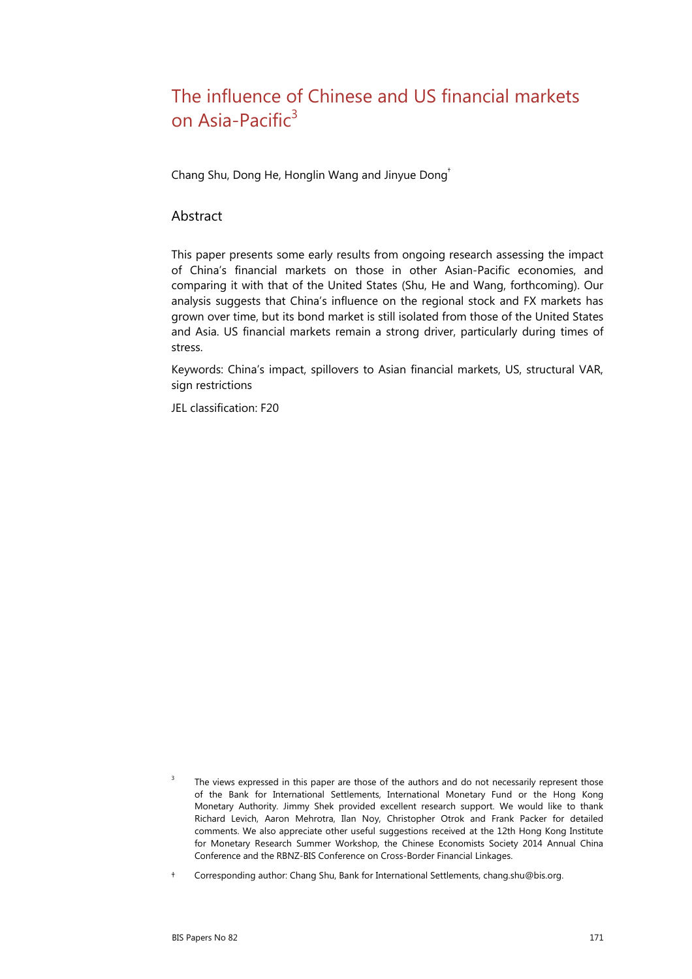# The influence of Chinese and US financial markets on Asia-Pacific $3$

Chang Shu, Dong He, Honglin Wang and Jinyue Dong[†](#page-0-0)

### **Abstract**

This paper presents some early results from ongoing research assessing the impact of China's financial markets on those in other Asian-Pacific economies, and comparing it with that of the United States (Shu, He and Wang, forthcoming). Our analysis suggests that China's influence on the regional stock and FX markets has grown over time, but its bond market is still isolated from those of the United States and Asia. US financial markets remain a strong driver, particularly during times of stress.

Keywords: China's impact, spillovers to Asian financial markets, US, structural VAR, sign restrictions

JEL classification: F20

<span id="page-0-0"></span>† Corresponding author: Chang Shu, Bank for International Settlements, chang.shu@bis.org.

<span id="page-0-1"></span><sup>3</sup> The views expressed in this paper are those of the authors and do not necessarily represent those of the Bank for International Settlements, International Monetary Fund or the Hong Kong Monetary Authority. Jimmy Shek provided excellent research support. We would like to thank Richard Levich, Aaron Mehrotra, Ilan Noy, Christopher Otrok and Frank Packer for detailed comments. We also appreciate other useful suggestions received at the 12th Hong Kong Institute for Monetary Research Summer Workshop, the Chinese Economists Society 2014 Annual China Conference and the RBNZ-BIS Conference on Cross-Border Financial Linkages.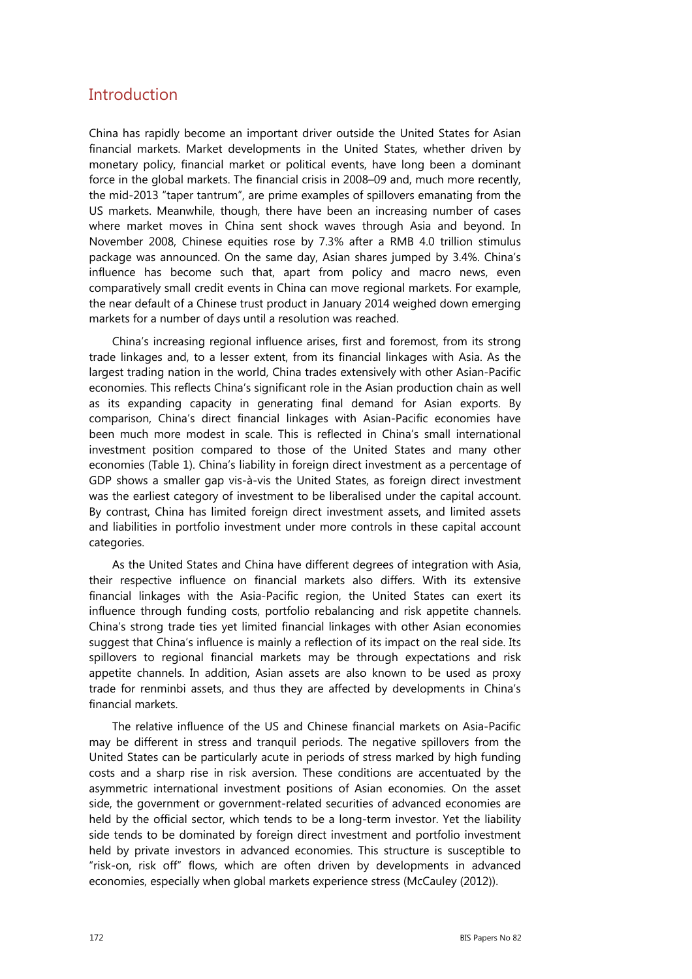## Introduction

China has rapidly become an important driver outside the United States for Asian financial markets. Market developments in the United States, whether driven by monetary policy, financial market or political events, have long been a dominant force in the global markets. The financial crisis in 2008–09 and, much more recently, the mid-2013 "taper tantrum", are prime examples of spillovers emanating from the US markets. Meanwhile, though, there have been an increasing number of cases where market moves in China sent shock waves through Asia and beyond. In November 2008, Chinese equities rose by 7.3% after a RMB 4.0 trillion stimulus package was announced. On the same day, Asian shares jumped by 3.4%. China's influence has become such that, apart from policy and macro news, even comparatively small credit events in China can move regional markets. For example, the near default of a Chinese trust product in January 2014 weighed down emerging markets for a number of days until a resolution was reached.

China's increasing regional influence arises, first and foremost, from its strong trade linkages and, to a lesser extent, from its financial linkages with Asia. As the largest trading nation in the world, China trades extensively with other Asian-Pacific economies. This reflects China's significant role in the Asian production chain as well as its expanding capacity in generating final demand for Asian exports. By comparison, China's direct financial linkages with Asian-Pacific economies have been much more modest in scale. This is reflected in China's small international investment position compared to those of the United States and many other economies (Table 1). China's liability in foreign direct investment as a percentage of GDP shows a smaller gap vis-à-vis the United States, as foreign direct investment was the earliest category of investment to be liberalised under the capital account. By contrast, China has limited foreign direct investment assets, and limited assets and liabilities in portfolio investment under more controls in these capital account categories.

As the United States and China have different degrees of integration with Asia, their respective influence on financial markets also differs. With its extensive financial linkages with the Asia-Pacific region, the United States can exert its influence through funding costs, portfolio rebalancing and risk appetite channels. China's strong trade ties yet limited financial linkages with other Asian economies suggest that China's influence is mainly a reflection of its impact on the real side. Its spillovers to regional financial markets may be through expectations and risk appetite channels. In addition, Asian assets are also known to be used as proxy trade for renminbi assets, and thus they are affected by developments in China's financial markets.

The relative influence of the US and Chinese financial markets on Asia-Pacific may be different in stress and tranquil periods. The negative spillovers from the United States can be particularly acute in periods of stress marked by high funding costs and a sharp rise in risk aversion. These conditions are accentuated by the asymmetric international investment positions of Asian economies. On the asset side, the government or government-related securities of advanced economies are held by the official sector, which tends to be a long-term investor. Yet the liability side tends to be dominated by foreign direct investment and portfolio investment held by private investors in advanced economies. This structure is susceptible to "risk-on, risk off" flows, which are often driven by developments in advanced economies, especially when global markets experience stress (McCauley (2012)).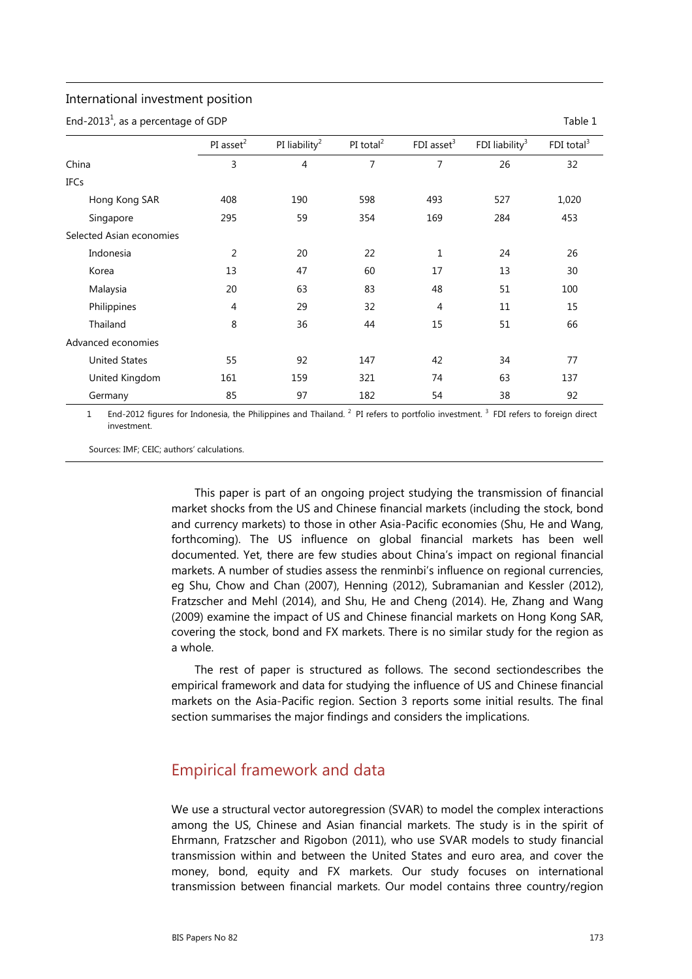#### International investment position

End-2013<sup>1</sup>, as a percentage of GDP  $\overline{1}$ 

|                          | PI asset $2$ | PI liability <sup>2</sup> | PI total $^2$  | FDI asset <sup>3</sup> | FDI liability $3$ | FDI total $3$ |
|--------------------------|--------------|---------------------------|----------------|------------------------|-------------------|---------------|
| China                    | 3            | 4                         | $\overline{7}$ | 7                      | 26                | 32            |
| <b>IFCs</b>              |              |                           |                |                        |                   |               |
| Hong Kong SAR            | 408          | 190                       | 598            | 493                    | 527               | 1,020         |
| Singapore                | 295          | 59                        | 354            | 169                    | 284               | 453           |
| Selected Asian economies |              |                           |                |                        |                   |               |
| Indonesia                | 2            | 20                        | 22             | $\mathbf 1$            | 24                | 26            |
| Korea                    | 13           | 47                        | 60             | 17                     | 13                | 30            |
| Malaysia                 | 20           | 63                        | 83             | 48                     | 51                | 100           |
| Philippines              | 4            | 29                        | 32             | $\overline{4}$         | 11                | 15            |
| Thailand                 | 8            | 36                        | 44             | 15                     | 51                | 66            |
| Advanced economies       |              |                           |                |                        |                   |               |
| <b>United States</b>     | 55           | 92                        | 147            | 42                     | 34                | 77            |
| United Kingdom           | 161          | 159                       | 321            | 74                     | 63                | 137           |
| Germany                  | 85           | 97                        | 182            | 54                     | 38                | 92            |

1 End-2012 figures for Indonesia, the Philippines and Thailand. <sup>2</sup> PI refers to portfolio investment. <sup>3</sup> FDI refers to foreign direct investment.

Sources: IMF; CEIC; authors' calculations.

This paper is part of an ongoing project studying the transmission of financial market shocks from the US and Chinese financial markets (including the stock, bond and currency markets) to those in other Asia-Pacific economies (Shu, He and Wang, forthcoming). The US influence on global financial markets has been well documented. Yet, there are few studies about China's impact on regional financial markets. A number of studies assess the renminbi's influence on regional currencies, eg Shu, Chow and Chan (2007), Henning (2012), Subramanian and Kessler (2012), Fratzscher and Mehl (2014), and Shu, He and Cheng (2014). He, Zhang and Wang (2009) examine the impact of US and Chinese financial markets on Hong Kong SAR, covering the stock, bond and FX markets. There is no similar study for the region as a whole.

The rest of paper is structured as follows. The second sectiondescribes the empirical framework and data for studying the influence of US and Chinese financial markets on the Asia-Pacific region. Section 3 reports some initial results. The final section summarises the major findings and considers the implications.

## Empirical framework and data

We use a structural vector autoregression (SVAR) to model the complex interactions among the US, Chinese and Asian financial markets. The study is in the spirit of Ehrmann, Fratzscher and Rigobon (2011), who use SVAR models to study financial transmission within and between the United States and euro area, and cover the money, bond, equity and FX markets. Our study focuses on international transmission between financial markets. Our model contains three country/region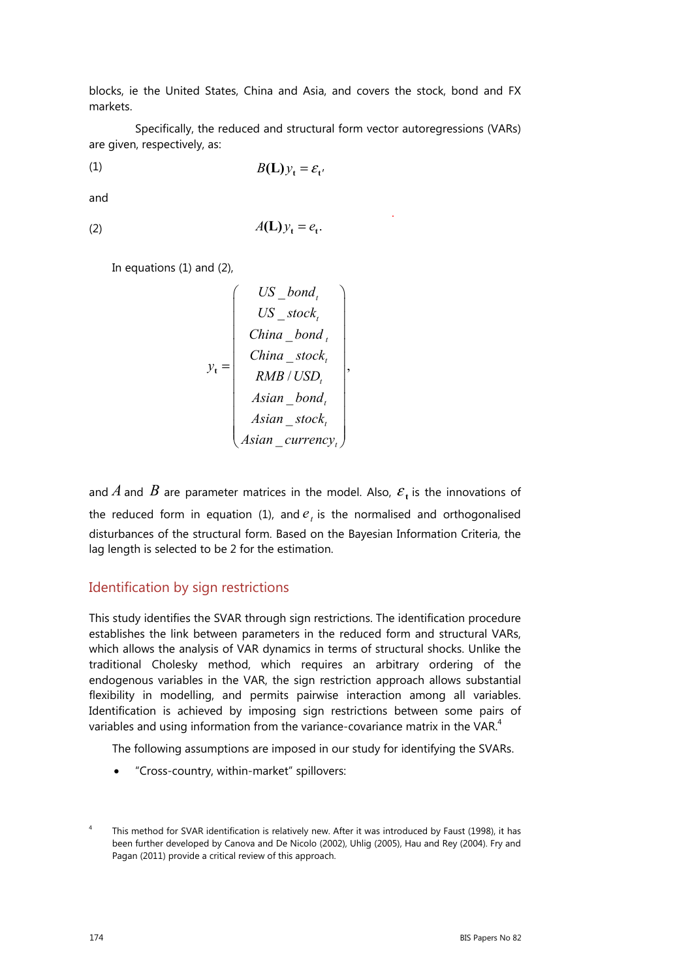blocks, ie the United States, China and Asia, and covers the stock, bond and FX markets.

 Specifically, the reduced and structural form vector autoregressions (VARs) are given, respectively, as:

$$
(1) \t\t\t B(\mathbf{L})\mathbf{y}_{t} = \mathbf{\varepsilon}_{t'}
$$

and

$$
(2) \t\t A(\mathbf{L})y_t = e_t.
$$

and the contract of the contract of the contract of the contract of the contract of

In equations (1) and (2),

$$
y_{t} = \begin{pmatrix} US\_bond_{t} \\ US\_stock_{t} \\ China\_bond_{t} \\ China\_stock_{t} \\ RMB/USD_{t} \\ Asian\_bond_{t} \\ Asian\_stock_{t} \\ Asian\_stock_{t} \\ Asian\_currency_{t} \end{pmatrix},
$$

and *A* and *B* are parameter matrices in the model. Also,  $\varepsilon_t$  is the innovations of the reduced form in equation (1), and  $e<sub>t</sub>$  is the normalised and orthogonalised disturbances of the structural form. Based on the Bayesian Information Criteria, the lag length is selected to be 2 for the estimation.

### Identification by sign restrictions

This study identifies the SVAR through sign restrictions. The identification procedure establishes the link between parameters in the reduced form and structural VARs, which allows the analysis of VAR dynamics in terms of structural shocks. Unlike the traditional Cholesky method, which requires an arbitrary ordering of the endogenous variables in the VAR, the sign restriction approach allows substantial flexibility in modelling, and permits pairwise interaction among all variables. Identification is achieved by imposing sign restrictions between some pairs of variables and using information from the variance-covariance matrix in the VAR.<sup>4</sup>

The following assumptions are imposed in our study for identifying the SVARs.

• "Cross-country, within-market" spillovers:

<sup>4</sup> This method for SVAR identification is relatively new. After it was introduced by Faust (1998), it has been further developed by Canova and De Nicolo (2002), Uhlig (2005), Hau and Rey (2004). Fry and Pagan (2011) provide a critical review of this approach.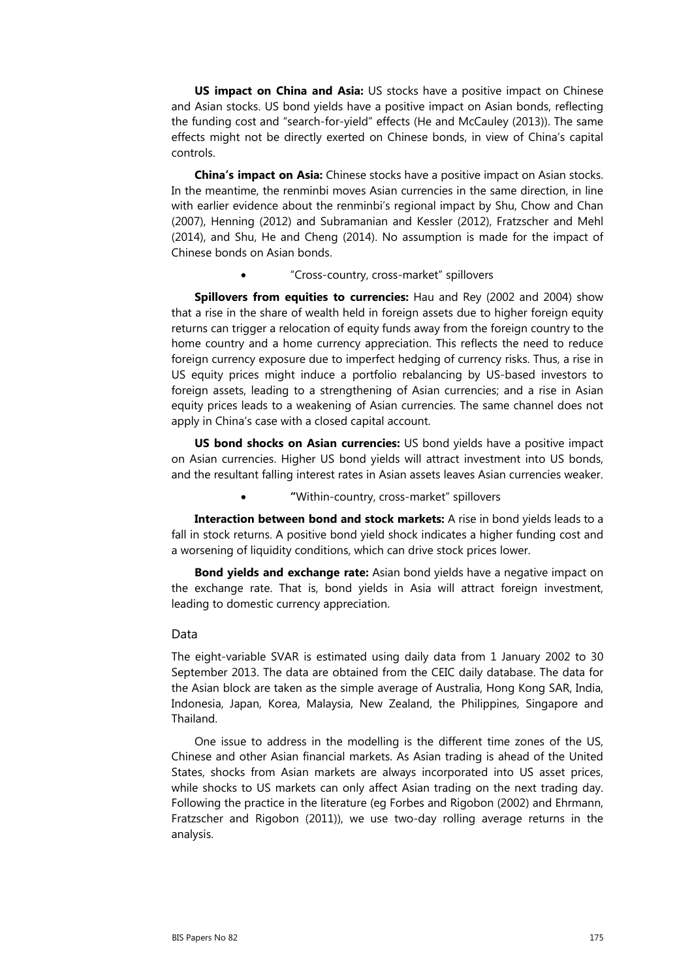**US impact on China and Asia:** US stocks have a positive impact on Chinese and Asian stocks. US bond yields have a positive impact on Asian bonds, reflecting the funding cost and "search-for-yield" effects (He and McCauley (2013)). The same effects might not be directly exerted on Chinese bonds, in view of China's capital controls.

**China's impact on Asia:** Chinese stocks have a positive impact on Asian stocks. In the meantime, the renminbi moves Asian currencies in the same direction, in line with earlier evidence about the renminbi's regional impact by Shu, Chow and Chan (2007), Henning (2012) and Subramanian and Kessler (2012), Fratzscher and Mehl (2014), and Shu, He and Cheng (2014). No assumption is made for the impact of Chinese bonds on Asian bonds.

• "Cross-country, cross-market" spillovers

**Spillovers from equities to currencies:** Hau and Rey (2002 and 2004) show that a rise in the share of wealth held in foreign assets due to higher foreign equity returns can trigger a relocation of equity funds away from the foreign country to the home country and a home currency appreciation. This reflects the need to reduce foreign currency exposure due to imperfect hedging of currency risks. Thus, a rise in US equity prices might induce a portfolio rebalancing by US-based investors to foreign assets, leading to a strengthening of Asian currencies; and a rise in Asian equity prices leads to a weakening of Asian currencies. The same channel does not apply in China's case with a closed capital account.

**US bond shocks on Asian currencies:** US bond yields have a positive impact on Asian currencies. Higher US bond yields will attract investment into US bonds, and the resultant falling interest rates in Asian assets leaves Asian currencies weaker.

• **"**Within-country, cross-market" spillovers

**Interaction between bond and stock markets:** A rise in bond yields leads to a fall in stock returns. A positive bond yield shock indicates a higher funding cost and a worsening of liquidity conditions, which can drive stock prices lower.

**Bond yields and exchange rate:** Asian bond yields have a negative impact on the exchange rate. That is, bond yields in Asia will attract foreign investment, leading to domestic currency appreciation.

#### Data

The eight-variable SVAR is estimated using daily data from 1 January 2002 to 30 September 2013. The data are obtained from the CEIC daily database. The data for the Asian block are taken as the simple average of Australia, Hong Kong SAR, India, Indonesia, Japan, Korea, Malaysia, New Zealand, the Philippines, Singapore and Thailand.

One issue to address in the modelling is the different time zones of the US, Chinese and other Asian financial markets. As Asian trading is ahead of the United States, shocks from Asian markets are always incorporated into US asset prices, while shocks to US markets can only affect Asian trading on the next trading day. Following the practice in the literature (eg Forbes and Rigobon (2002) and Ehrmann, Fratzscher and Rigobon (2011)), we use two-day rolling average returns in the analysis.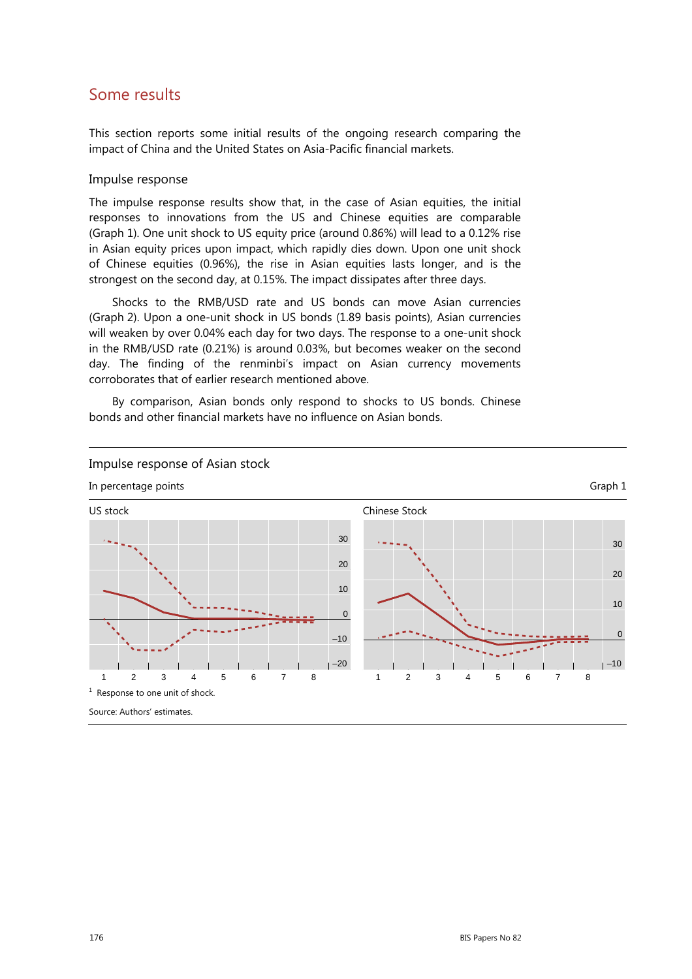## Some results

This section reports some initial results of the ongoing research comparing the impact of China and the United States on Asia-Pacific financial markets.

#### Impulse response

The impulse response results show that, in the case of Asian equities, the initial responses to innovations from the US and Chinese equities are comparable (Graph 1). One unit shock to US equity price (around 0.86%) will lead to a 0.12% rise in Asian equity prices upon impact, which rapidly dies down. Upon one unit shock of Chinese equities (0.96%), the rise in Asian equities lasts longer, and is the strongest on the second day, at 0.15%. The impact dissipates after three days.

Shocks to the RMB/USD rate and US bonds can move Asian currencies (Graph 2). Upon a one-unit shock in US bonds (1.89 basis points), Asian currencies will weaken by over 0.04% each day for two days. The response to a one-unit shock in the RMB/USD rate (0.21%) is around 0.03%, but becomes weaker on the second day. The finding of the renminbi's impact on Asian currency movements corroborates that of earlier research mentioned above.

By comparison, Asian bonds only respond to shocks to US bonds. Chinese bonds and other financial markets have no influence on Asian bonds.

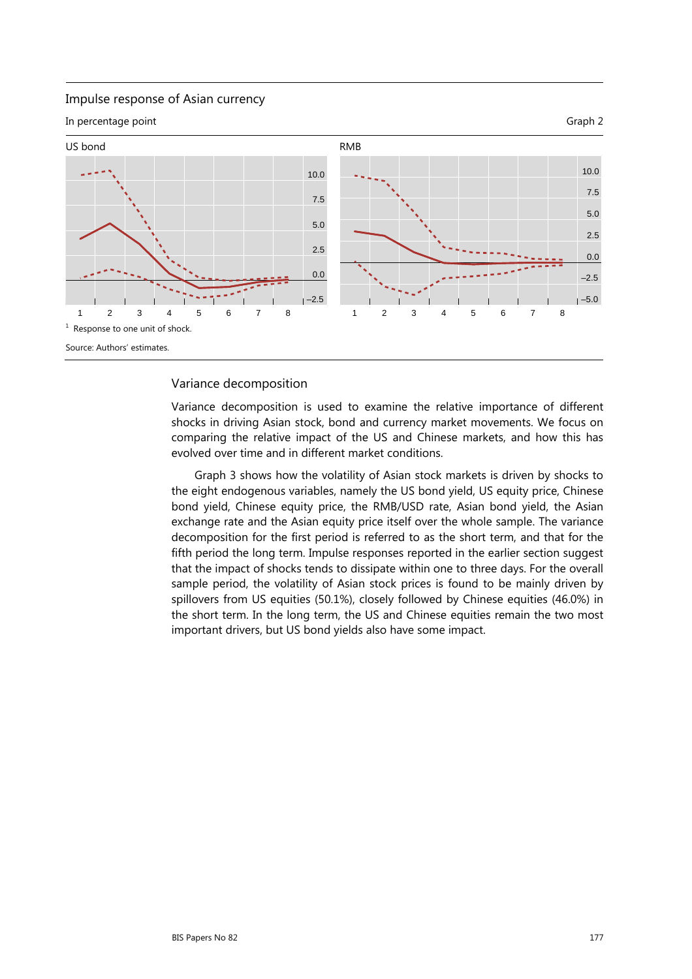#### Impulse response of Asian currency

In percentage point Graph 2



#### Variance decomposition

Variance decomposition is used to examine the relative importance of different shocks in driving Asian stock, bond and currency market movements. We focus on comparing the relative impact of the US and Chinese markets, and how this has evolved over time and in different market conditions.

Graph 3 shows how the volatility of Asian stock markets is driven by shocks to the eight endogenous variables, namely the US bond yield, US equity price, Chinese bond yield, Chinese equity price, the RMB/USD rate, Asian bond yield, the Asian exchange rate and the Asian equity price itself over the whole sample. The variance decomposition for the first period is referred to as the short term, and that for the fifth period the long term. Impulse responses reported in the earlier section suggest that the impact of shocks tends to dissipate within one to three days. For the overall sample period, the volatility of Asian stock prices is found to be mainly driven by spillovers from US equities (50.1%), closely followed by Chinese equities (46.0%) in the short term. In the long term, the US and Chinese equities remain the two most important drivers, but US bond yields also have some impact.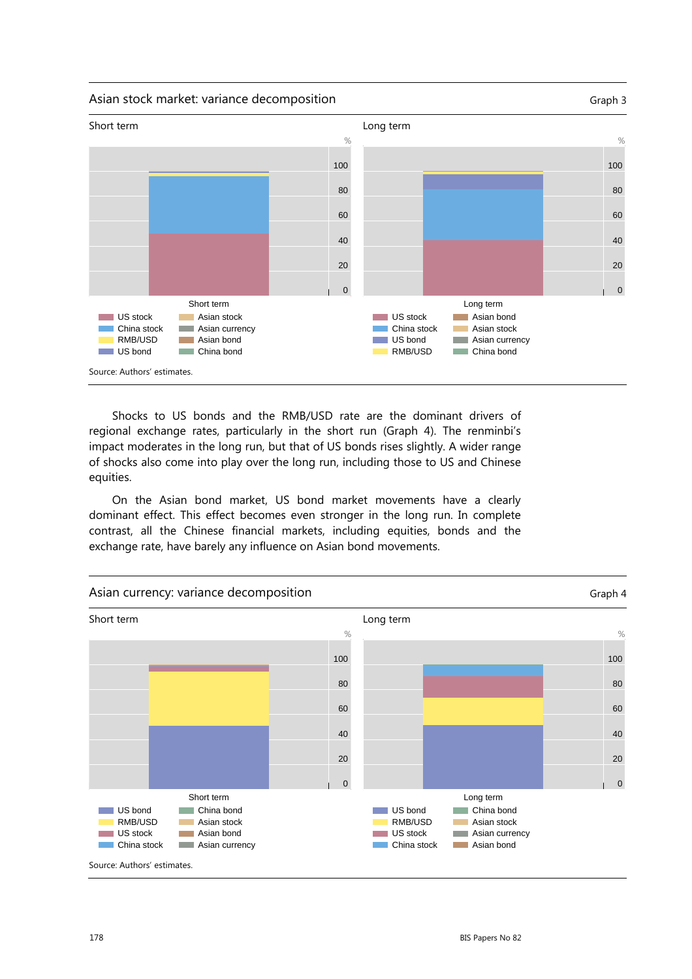#### Asian stock market: variance decomposition Graph 3



Shocks to US bonds and the RMB/USD rate are the dominant drivers of regional exchange rates, particularly in the short run (Graph 4). The renminbi's impact moderates in the long run, but that of US bonds rises slightly. A wider range of shocks also come into play over the long run, including those to US and Chinese equities.

On the Asian bond market, US bond market movements have a clearly dominant effect. This effect becomes even stronger in the long run. In complete contrast, all the Chinese financial markets, including equities, bonds and the exchange rate, have barely any influence on Asian bond movements.

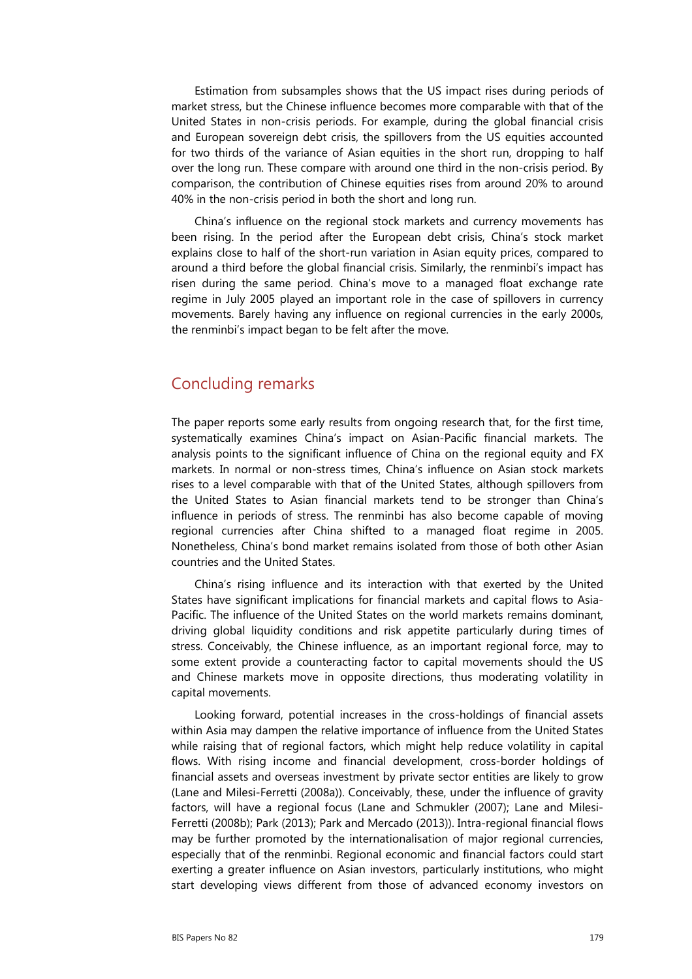Estimation from subsamples shows that the US impact rises during periods of market stress, but the Chinese influence becomes more comparable with that of the United States in non-crisis periods. For example, during the global financial crisis and European sovereign debt crisis, the spillovers from the US equities accounted for two thirds of the variance of Asian equities in the short run, dropping to half over the long run. These compare with around one third in the non-crisis period. By comparison, the contribution of Chinese equities rises from around 20% to around 40% in the non-crisis period in both the short and long run.

China's influence on the regional stock markets and currency movements has been rising. In the period after the European debt crisis, China's stock market explains close to half of the short-run variation in Asian equity prices, compared to around a third before the global financial crisis. Similarly, the renminbi's impact has risen during the same period. China's move to a managed float exchange rate regime in July 2005 played an important role in the case of spillovers in currency movements. Barely having any influence on regional currencies in the early 2000s, the renminbi's impact began to be felt after the move.

## Concluding remarks

The paper reports some early results from ongoing research that, for the first time, systematically examines China's impact on Asian-Pacific financial markets. The analysis points to the significant influence of China on the regional equity and FX markets. In normal or non-stress times, China's influence on Asian stock markets rises to a level comparable with that of the United States, although spillovers from the United States to Asian financial markets tend to be stronger than China's influence in periods of stress. The renminbi has also become capable of moving regional currencies after China shifted to a managed float regime in 2005. Nonetheless, China's bond market remains isolated from those of both other Asian countries and the United States.

China's rising influence and its interaction with that exerted by the United States have significant implications for financial markets and capital flows to Asia-Pacific. The influence of the United States on the world markets remains dominant, driving global liquidity conditions and risk appetite particularly during times of stress. Conceivably, the Chinese influence, as an important regional force, may to some extent provide a counteracting factor to capital movements should the US and Chinese markets move in opposite directions, thus moderating volatility in capital movements.

Looking forward, potential increases in the cross-holdings of financial assets within Asia may dampen the relative importance of influence from the United States while raising that of regional factors, which might help reduce volatility in capital flows. With rising income and financial development, cross-border holdings of financial assets and overseas investment by private sector entities are likely to grow (Lane and Milesi-Ferretti (2008a)). Conceivably, these, under the influence of gravity factors, will have a regional focus (Lane and Schmukler (2007); Lane and Milesi-Ferretti (2008b); Park (2013); Park and Mercado (2013)). Intra-regional financial flows may be further promoted by the internationalisation of major regional currencies, especially that of the renminbi. Regional economic and financial factors could start exerting a greater influence on Asian investors, particularly institutions, who might start developing views different from those of advanced economy investors on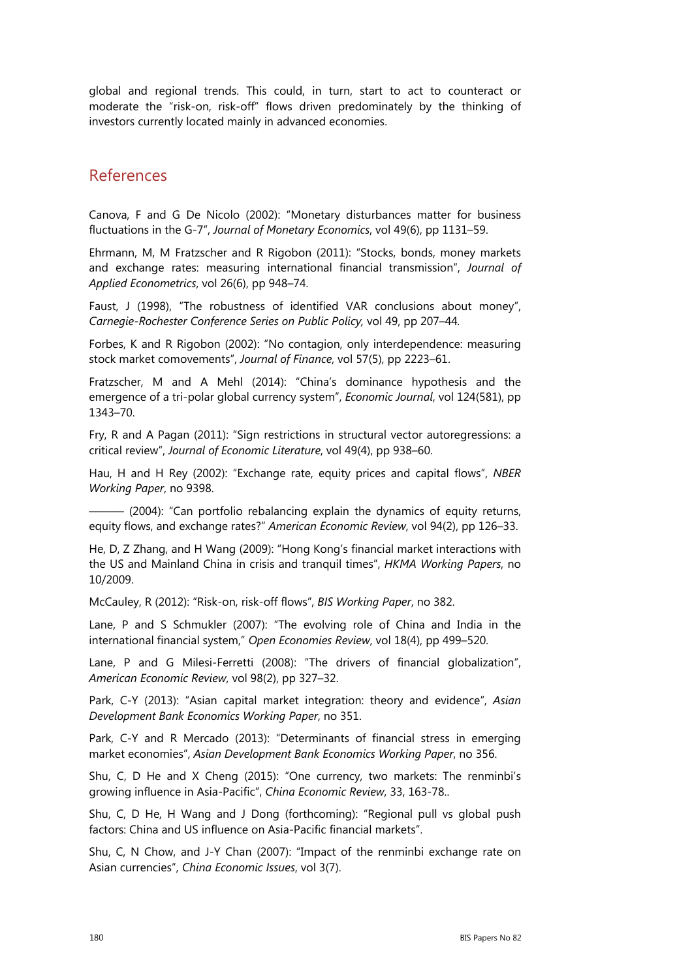global and regional trends. This could, in turn, start to act to counteract or moderate the "risk-on, risk-off" flows driven predominately by the thinking of investors currently located mainly in advanced economies.

## References

Canova, F and G De Nicolo (2002): "Monetary disturbances matter for business fluctuations in the G-7", *Journal of Monetary Economics*, vol 49(6), pp 1131–59.

Ehrmann, M, M Fratzscher and R Rigobon (2011): "Stocks, bonds, money markets and exchange rates: measuring international financial transmission", *Journal of Applied Econometrics*, vol 26(6), pp 948–74.

Faust, J (1998), "The robustness of identified VAR conclusions about money", *Carnegie-Rochester Conference Series on Public Policy,* vol 49, pp 207–44*.* 

Forbes, K and R Rigobon (2002): "No contagion, only interdependence: measuring stock market comovements", *Journal of Finance*, vol 57(5), pp 2223–61.

Fratzscher, M and A Mehl (2014): "China's dominance hypothesis and the emergence of a tri-polar global currency system", *Economic Journal*, vol 124(581), pp 1343–70.

Fry, R and A Pagan (2011): "Sign restrictions in structural vector autoregressions: a critical review", *Journal of Economic Literature*, vol 49(4), pp 938–60.

Hau, H and H Rey (2002): "Exchange rate, equity prices and capital flows", *NBER Working Paper*, no 9398.

 $-$  (2004): "Can portfolio rebalancing explain the dynamics of equity returns, equity flows, and exchange rates?" *American Economic Review*, vol 94(2), pp 126–33.

He, D, Z Zhang, and H Wang (2009): "Hong Kong's financial market interactions with the US and Mainland China in crisis and tranquil times", *HKMA Working Papers*, no 10/2009.

McCauley, R (2012): "Risk-on, risk-off flows", *BIS Working Paper*, no 382.

Lane, P and S Schmukler (2007): "The evolving role of China and India in the international financial system," *Open Economies Review*, vol 18(4), pp 499–520.

Lane, P and G Milesi-Ferretti (2008): "The drivers of financial globalization", *American Economic Review*, vol 98(2), pp 327–32.

Park, C-Y (2013): "Asian capital market integration: theory and evidence", *Asian Development Bank Economics Working Paper*, no 351.

Park, C-Y and R Mercado (2013): "Determinants of financial stress in emerging market economies", *Asian Development Bank Economics Working Paper*, no 356.

Shu, C, D He and X Cheng (2015): "One currency, two markets: The renminbi's growing influence in Asia-Pacific", *China Economic Review*, 33, 163-78..

Shu, C, D He, H Wang and J Dong (forthcoming): "Regional pull vs global push factors: China and US influence on Asia-Pacific financial markets".

Shu, C, N Chow, and J-Y Chan (2007): "Impact of the renminbi exchange rate on Asian currencies", *China Economic Issues*, vol 3(7).